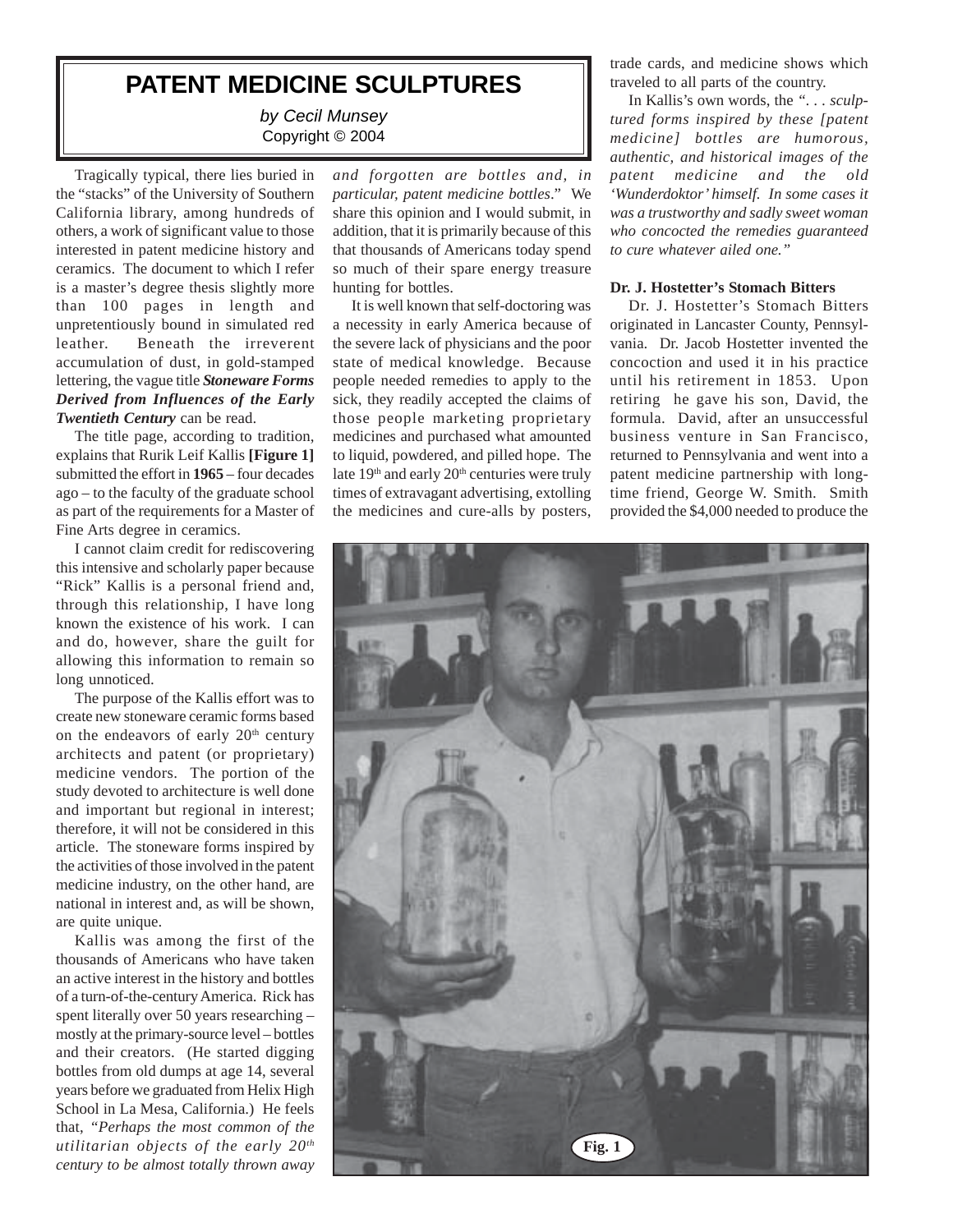# **PATENT MEDICINE SCULPTURES**

*by Cecil Munsey* Copyright © 2004

Tragically typical, there lies buried in the "stacks" of the University of Southern California library, among hundreds of others, a work of significant value to those interested in patent medicine history and ceramics. The document to which I refer is a master's degree thesis slightly more than 100 pages in length and unpretentiously bound in simulated red leather. Beneath the irreverent accumulation of dust, in gold-stamped lettering, the vague title *Stoneware Forms Derived from Influences of the Early Twentieth Century* can be read.

The title page, according to tradition, explains that Rurik Leif Kallis **[Figure 1]** submitted the effort in **1965** – four decades ago – to the faculty of the graduate school as part of the requirements for a Master of Fine Arts degree in ceramics.

I cannot claim credit for rediscovering this intensive and scholarly paper because "Rick" Kallis is a personal friend and, through this relationship, I have long known the existence of his work. I can and do, however, share the guilt for allowing this information to remain so long unnoticed.

The purpose of the Kallis effort was to create new stoneware ceramic forms based on the endeavors of early  $20<sup>th</sup>$  century architects and patent (or proprietary) medicine vendors. The portion of the study devoted to architecture is well done and important but regional in interest; therefore, it will not be considered in this article. The stoneware forms inspired by the activities of those involved in the patent medicine industry, on the other hand, are national in interest and, as will be shown, are quite unique.

Kallis was among the first of the thousands of Americans who have taken an active interest in the history and bottles of a turn-of-the-century America. Rick has spent literally over 50 years researching – mostly at the primary-source level – bottles and their creators. (He started digging bottles from old dumps at age 14, several years before we graduated from Helix High School in La Mesa, California.) He feels that, *"Perhaps the most common of the utilitarian objects of the early 20th century to be almost totally thrown away*

*and forgotten are bottles and, in particular, patent medicine bottles*." We share this opinion and I would submit, in addition, that it is primarily because of this that thousands of Americans today spend so much of their spare energy treasure hunting for bottles.

It is well known that self-doctoring was a necessity in early America because of the severe lack of physicians and the poor state of medical knowledge. Because people needed remedies to apply to the sick, they readily accepted the claims of those people marketing proprietary medicines and purchased what amounted to liquid, powdered, and pilled hope. The late 19<sup>th</sup> and early 20<sup>th</sup> centuries were truly times of extravagant advertising, extolling the medicines and cure-alls by posters, trade cards, and medicine shows which traveled to all parts of the country.

In Kallis's own words, the *". . . sculptured forms inspired by these [patent medicine] bottles are humorous, authentic, and historical images of the patent medicine and the old 'Wunderdoktor' himself. In some cases it was a trustworthy and sadly sweet woman who concocted the remedies guaranteed to cure whatever ailed one."*

#### **Dr. J. Hostetter's Stomach Bitters**

Dr. J. Hostetter's Stomach Bitters originated in Lancaster County, Pennsylvania. Dr. Jacob Hostetter invented the concoction and used it in his practice until his retirement in 1853. Upon retiring he gave his son, David, the formula. David, after an unsuccessful business venture in San Francisco, returned to Pennsylvania and went into a patent medicine partnership with longtime friend, George W. Smith. Smith provided the \$4,000 needed to produce the

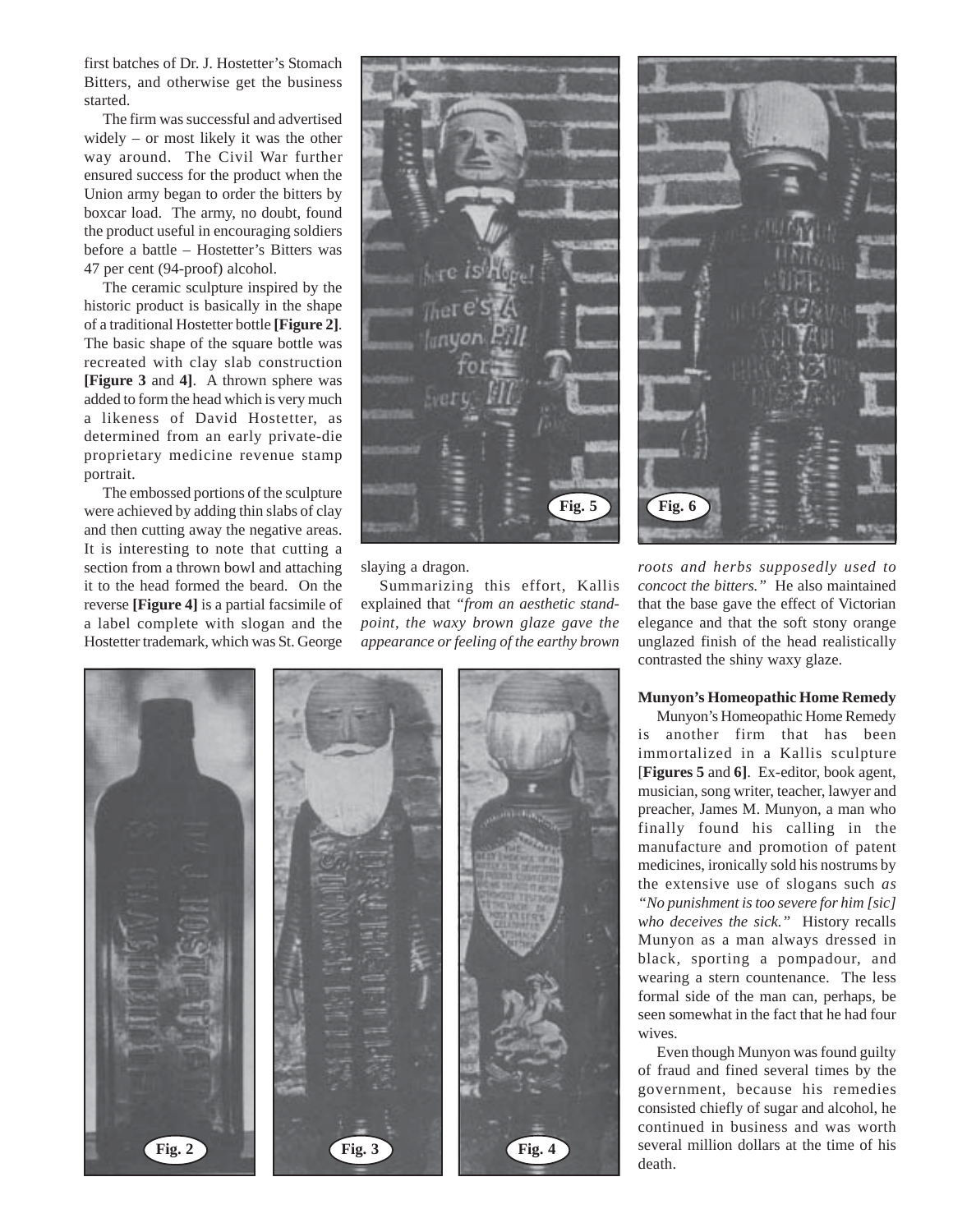first batches of Dr. J. Hostetter's Stomach Bitters, and otherwise get the business started.

The firm was successful and advertised widely – or most likely it was the other way around. The Civil War further ensured success for the product when the Union army began to order the bitters by boxcar load. The army, no doubt, found the product useful in encouraging soldiers before a battle – Hostetter's Bitters was 47 per cent (94-proof) alcohol.

The ceramic sculpture inspired by the historic product is basically in the shape of a traditional Hostetter bottle **[Figure 2]**. The basic shape of the square bottle was recreated with clay slab construction **[Figure 3** and **4]**. A thrown sphere was added to form the head which is very much a likeness of David Hostetter, as determined from an early private-die proprietary medicine revenue stamp portrait.

The embossed portions of the sculpture were achieved by adding thin slabs of clay and then cutting away the negative areas. It is interesting to note that cutting a section from a thrown bowl and attaching it to the head formed the beard. On the reverse **[Figure 4]** is a partial facsimile of a label complete with slogan and the Hostetter trademark, which was St. George



slaying a dragon.

Summarizing this effort, Kallis explained that *"from an aesthetic standpoint, the waxy brown glaze gave the appearance or feeling of the earthy brown*





*roots and herbs supposedly used to concoct the bitters."* He also maintained that the base gave the effect of Victorian elegance and that the soft stony orange unglazed finish of the head realistically contrasted the shiny waxy glaze.

## **Munyon's Homeopathic Home Remedy**

Munyon's Homeopathic Home Remedy is another firm that has been immortalized in a Kallis sculpture [**Figures 5** and **6]**. Ex-editor, book agent, musician, song writer, teacher, lawyer and preacher, James M. Munyon, a man who finally found his calling in the manufacture and promotion of patent medicines, ironically sold his nostrums by the extensive use of slogans such *as "No punishment is too severe for him [sic] who deceives the sick."* History recalls Munyon as a man always dressed in black, sporting a pompadour, and wearing a stern countenance. The less formal side of the man can, perhaps, be seen somewhat in the fact that he had four wives.

Even though Munyon was found guilty of fraud and fined several times by the government, because his remedies consisted chiefly of sugar and alcohol, he continued in business and was worth several million dollars at the time of his death.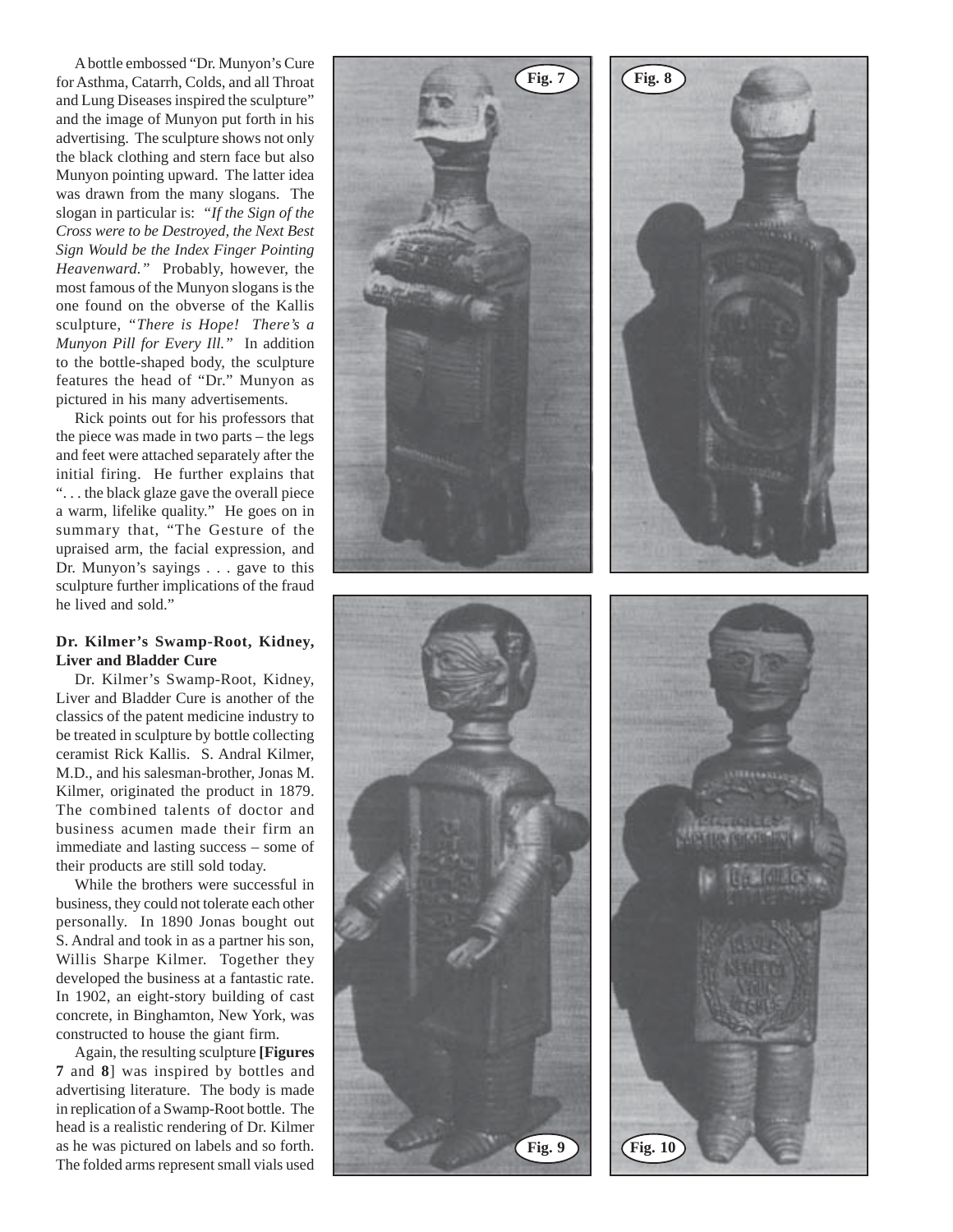A bottle embossed "Dr. Munyon's Cure for Asthma, Catarrh, Colds, and all Throat and Lung Diseases inspired the sculpture" and the image of Munyon put forth in his advertising. The sculpture shows not only the black clothing and stern face but also Munyon pointing upward. The latter idea was drawn from the many slogans. The slogan in particular is: *"If the Sign of the Cross were to be Destroyed, the Next Best Sign Would be the Index Finger Pointing Heavenward."* Probably, however, the most famous of the Munyon slogans is the one found on the obverse of the Kallis sculpture, *"There is Hope! There's a Munyon Pill for Every Ill."* In addition to the bottle-shaped body, the sculpture features the head of "Dr." Munyon as pictured in his many advertisements.

Rick points out for his professors that the piece was made in two parts – the legs and feet were attached separately after the initial firing. He further explains that ". . . the black glaze gave the overall piece a warm, lifelike quality." He goes on in summary that, "The Gesture of the upraised arm, the facial expression, and Dr. Munyon's sayings . . . gave to this sculpture further implications of the fraud he lived and sold."

# **Dr. Kilmer's Swamp-Root, Kidney, Liver and Bladder Cure**

Dr. Kilmer's Swamp-Root, Kidney, Liver and Bladder Cure is another of the classics of the patent medicine industry to be treated in sculpture by bottle collecting ceramist Rick Kallis. S. Andral Kilmer, M.D., and his salesman-brother, Jonas M. Kilmer, originated the product in 1879. The combined talents of doctor and business acumen made their firm an immediate and lasting success – some of their products are still sold today.

While the brothers were successful in business, they could not tolerate each other personally. In 1890 Jonas bought out S. Andral and took in as a partner his son, Willis Sharpe Kilmer. Together they developed the business at a fantastic rate. In 1902, an eight-story building of cast concrete, in Binghamton, New York, was constructed to house the giant firm.

Again, the resulting sculpture **[Figures 7** and **8**] was inspired by bottles and advertising literature. The body is made in replication of a Swamp-Root bottle. The head is a realistic rendering of Dr. Kilmer as he was pictured on labels and so forth. The folded arms represent small vials used

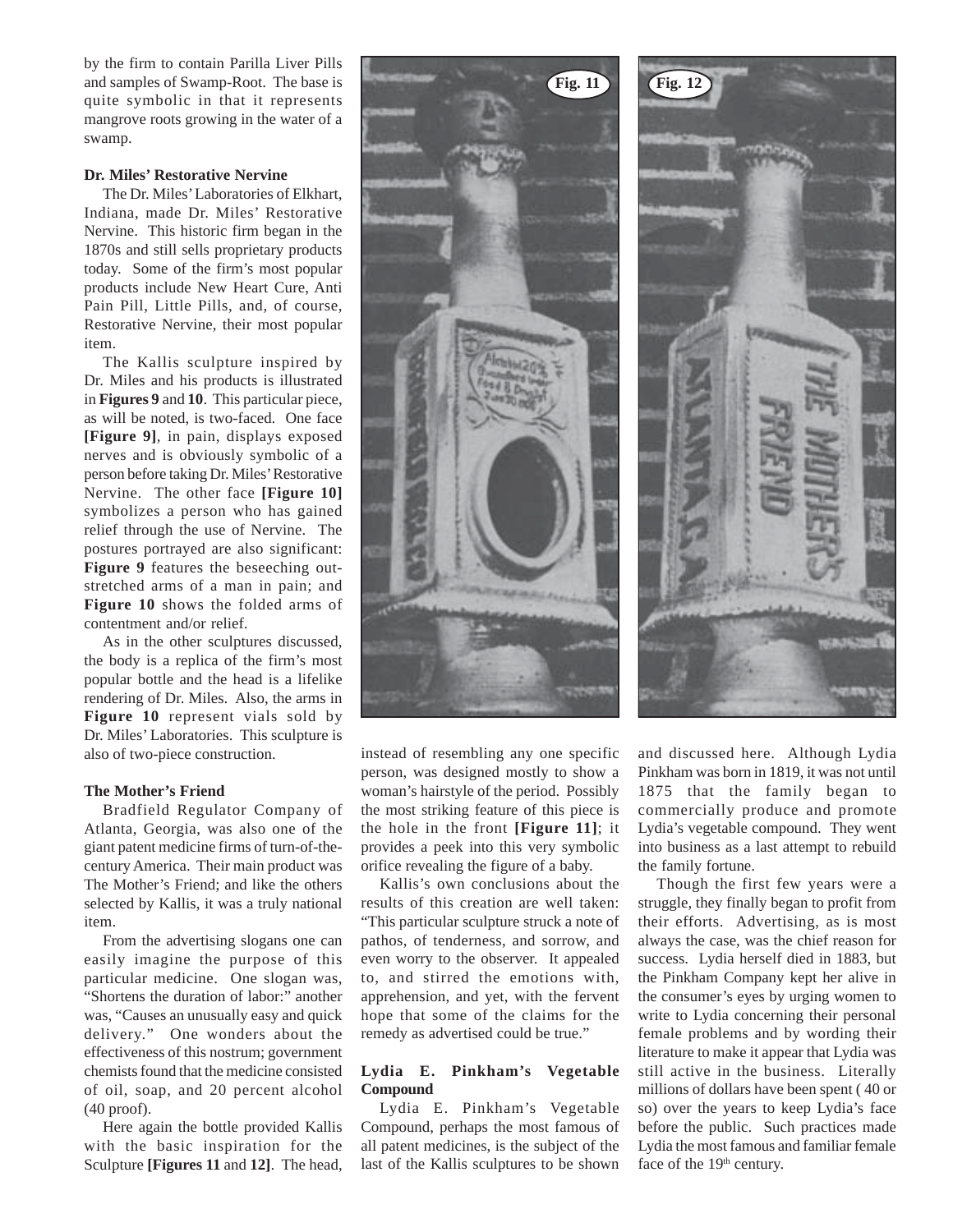by the firm to contain Parilla Liver Pills and samples of Swamp-Root. The base is quite symbolic in that it represents mangrove roots growing in the water of a swamp.

#### **Dr. Miles' Restorative Nervine**

The Dr. Miles' Laboratories of Elkhart, Indiana, made Dr. Miles' Restorative Nervine. This historic firm began in the 1870s and still sells proprietary products today. Some of the firm's most popular products include New Heart Cure, Anti Pain Pill, Little Pills, and, of course, Restorative Nervine, their most popular item.

The Kallis sculpture inspired by Dr. Miles and his products is illustrated in **Figures 9** and **10**. This particular piece, as will be noted, is two-faced. One face **[Figure 9]**, in pain, displays exposed nerves and is obviously symbolic of a person before taking Dr. Miles' Restorative Nervine. The other face **[Figure 10]** symbolizes a person who has gained relief through the use of Nervine. The postures portrayed are also significant: **Figure 9** features the beseeching outstretched arms of a man in pain; and **Figure 10** shows the folded arms of contentment and/or relief.

As in the other sculptures discussed, the body is a replica of the firm's most popular bottle and the head is a lifelike rendering of Dr. Miles. Also, the arms in **Figure 10** represent vials sold by Dr. Miles' Laboratories. This sculpture is also of two-piece construction.

## **The Mother's Friend**

Bradfield Regulator Company of Atlanta, Georgia, was also one of the giant patent medicine firms of turn-of-thecentury America. Their main product was The Mother's Friend; and like the others selected by Kallis, it was a truly national item.

From the advertising slogans one can easily imagine the purpose of this particular medicine. One slogan was, "Shortens the duration of labor:" another was, "Causes an unusually easy and quick delivery." One wonders about the effectiveness of this nostrum; government chemists found that the medicine consisted of oil, soap, and 20 percent alcohol (40 proof).

Here again the bottle provided Kallis with the basic inspiration for the Sculpture **[Figures 11** and **12]**. The head,





the most striking feature of this piece is the hole in the front **[Figure 11]**; it provides a peek into this very symbolic orifice revealing the figure of a baby.

Kallis's own conclusions about the results of this creation are well taken: "This particular sculpture struck a note of pathos, of tenderness, and sorrow, and even worry to the observer. It appealed to, and stirred the emotions with, apprehension, and yet, with the fervent hope that some of the claims for the remedy as advertised could be true."

## **Lydia E. Pinkham's Vegetable Compound**

Lydia E. Pinkham's Vegetable Compound, perhaps the most famous of all patent medicines, is the subject of the last of the Kallis sculptures to be shown and discussed here. Although Lydia Pinkham was born in 1819, it was not until 1875 that the family began to commercially produce and promote Lydia's vegetable compound. They went into business as a last attempt to rebuild the family fortune.

Though the first few years were a struggle, they finally began to profit from their efforts. Advertising, as is most always the case, was the chief reason for success. Lydia herself died in 1883, but the Pinkham Company kept her alive in the consumer's eyes by urging women to write to Lydia concerning their personal female problems and by wording their literature to make it appear that Lydia was still active in the business. Literally millions of dollars have been spent ( 40 or so) over the years to keep Lydia's face before the public. Such practices made Lydia the most famous and familiar female face of the 19<sup>th</sup> century.